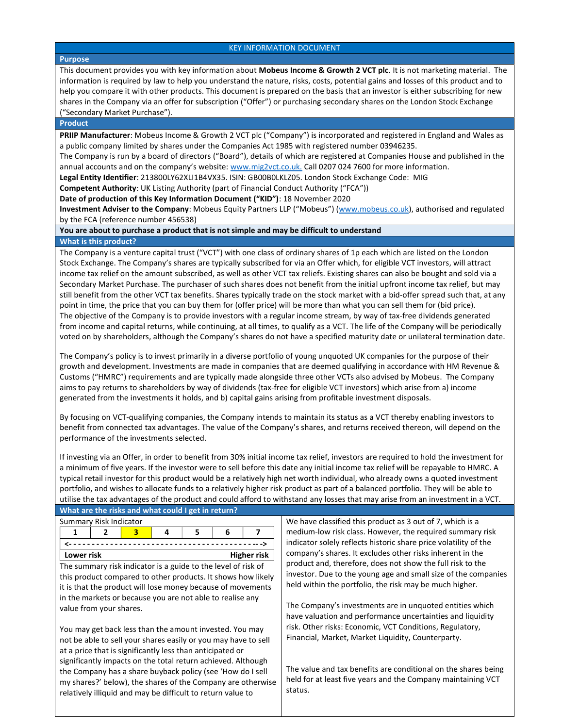### KEY INFORMATION DOCUMENT

## Purpose

This document provides you with key information about Mobeus Income & Growth 2 VCT plc. It is not marketing material. The information is required by law to help you understand the nature, risks, costs, potential gains and losses of this product and to help you compare it with other products. This document is prepared on the basis that an investor is either subscribing for new shares in the Company via an offer for subscription ("Offer") or purchasing secondary shares on the London Stock Exchange ("Secondary Market Purchase").

#### Product

PRIIP Manufacturer: Mobeus Income & Growth 2 VCT plc ("Company") is incorporated and registered in England and Wales as a public company limited by shares under the Companies Act 1985 with registered number 03946235.

The Company is run by a board of directors ("Board"), details of which are registered at Companies House and published in the annual accounts and on the company's website: www.mig2vct.co.uk. Call 0207 024 7600 for more information.

Legal Entity Identifier: 213800LY62XLI1B4VX35. ISIN: GB00B0LKLZ05. London Stock Exchange Code: MIG

Competent Authority: UK Listing Authority (part of Financial Conduct Authority ("FCA"))

Date of production of this Key Information Document ("KID"): 18 November 2020

Investment Adviser to the Company: Mobeus Equity Partners LLP ("Mobeus") (www.mobeus.co.uk), authorised and regulated by the FCA (reference number 456538)

You are about to purchase a product that is not simple and may be difficult to understand

## What is this product?

The Company is a venture capital trust ("VCT") with one class of ordinary shares of 1p each which are listed on the London Stock Exchange. The Company's shares are typically subscribed for via an Offer which, for eligible VCT investors, will attract income tax relief on the amount subscribed, as well as other VCT tax reliefs. Existing shares can also be bought and sold via a Secondary Market Purchase. The purchaser of such shares does not benefit from the initial upfront income tax relief, but may still benefit from the other VCT tax benefits. Shares typically trade on the stock market with a bid-offer spread such that, at any point in time, the price that you can buy them for (offer price) will be more than what you can sell them for (bid price). The objective of the Company is to provide investors with a regular income stream, by way of tax-free dividends generated from income and capital returns, while continuing, at all times, to qualify as a VCT. The life of the Company will be periodically voted on by shareholders, although the Company's shares do not have a specified maturity date or unilateral termination date.

The Company's policy is to invest primarily in a diverse portfolio of young unquoted UK companies for the purpose of their growth and development. Investments are made in companies that are deemed qualifying in accordance with HM Revenue & Customs ("HMRC") requirements and are typically made alongside three other VCTs also advised by Mobeus. The Company aims to pay returns to shareholders by way of dividends (tax-free for eligible VCT investors) which arise from a) income generated from the investments it holds, and b) capital gains arising from profitable investment disposals.

By focusing on VCT-qualifying companies, the Company intends to maintain its status as a VCT thereby enabling investors to benefit from connected tax advantages. The value of the Company's shares, and returns received thereon, will depend on the performance of the investments selected.

If investing via an Offer, in order to benefit from 30% initial income tax relief, investors are required to hold the investment for a minimum of five years. If the investor were to sell before this date any initial income tax relief will be repayable to HMRC. A typical retail investor for this product would be a relatively high net worth individual, who already owns a quoted investment portfolio, and wishes to allocate funds to a relatively higher risk product as part of a balanced portfolio. They will be able to utilise the tax advantages of the product and could afford to withstand any losses that may arise from an investment in a VCT. What are the risks and what could I get in return?

| Summary Risk Indicator           |  |  |  |  |  |  |
|----------------------------------|--|--|--|--|--|--|
|                                  |  |  |  |  |  |  |
|                                  |  |  |  |  |  |  |
| <b>Higher risk</b><br>Lower risk |  |  |  |  |  |  |

The summary risk indicator is a guide to the level of risk of this product compared to other products. It shows how likely it is that the product will lose money because of movements in the markets or because you are not able to realise any value from your shares.

You may get back less than the amount invested. You may not be able to sell your shares easily or you may have to sell at a price that is significantly less than anticipated or significantly impacts on the total return achieved. Although the Company has a share buyback policy (see 'How do I sell my shares?' below), the shares of the Company are otherwise relatively illiquid and may be difficult to return value to

We have classified this product as 3 out of 7, which is a medium-low risk class. However, the required summary risk indicator solely reflects historic share price volatility of the company's shares. It excludes other risks inherent in the product and, therefore, does not show the full risk to the investor. Due to the young age and small size of the companies held within the portfolio, the risk may be much higher.

The Company's investments are in unquoted entities which have valuation and performance uncertainties and liquidity risk. Other risks: Economic, VCT Conditions, Regulatory, Financial, Market, Market Liquidity, Counterparty.

The value and tax benefits are conditional on the shares being held for at least five years and the Company maintaining VCT status.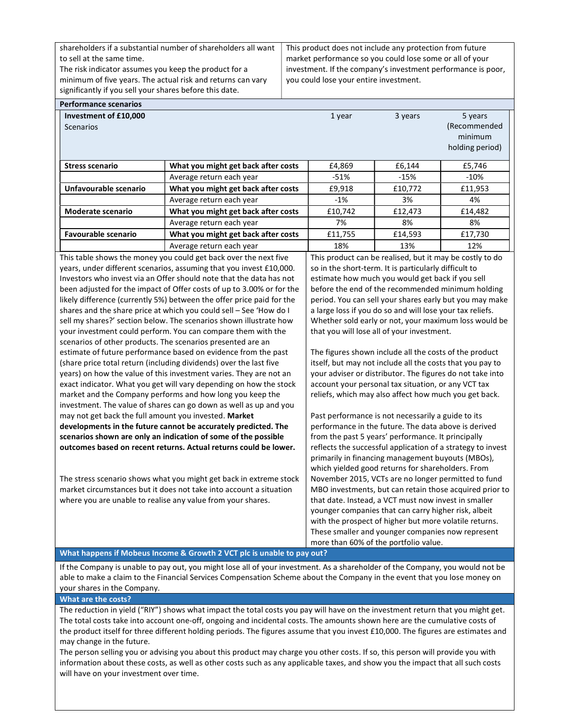shareholders if a substantial number of shareholders all want to sell at the same time.

The risk indicator assumes you keep the product for a minimum of five years. The actual risk and returns can vary significantly if you sell your shares before this date.

This product does not include any protection from future market performance so you could lose some or all of your investment. If the company's investment performance is poor, you could lose your entire investment.

| <b>Performance scenarios</b> |                                                                     |                                                          |         |                 |              |
|------------------------------|---------------------------------------------------------------------|----------------------------------------------------------|---------|-----------------|--------------|
|                              | Investment of £10,000                                               |                                                          | 1 year  | 3 years         | 5 years      |
|                              | <b>Scenarios</b>                                                    |                                                          |         |                 | (Recommended |
|                              |                                                                     |                                                          |         |                 | minimum      |
|                              |                                                                     |                                                          |         | holding period) |              |
|                              |                                                                     |                                                          |         |                 |              |
|                              | <b>Stress scenario</b>                                              | What you might get back after costs                      | £4,869  | £6,144          | £5,746       |
|                              |                                                                     | Average return each year                                 | $-51%$  | $-15%$          | $-10%$       |
|                              | Unfavourable scenario                                               | What you might get back after costs                      | £9,918  | £10,772         | £11,953      |
|                              |                                                                     | Average return each year                                 | -1%     | 3%              | 4%           |
|                              | Moderate scenario                                                   | What you might get back after costs                      | £10,742 | £12,473         | £14,482      |
|                              |                                                                     | Average return each year                                 | 7%      | 8%              | 8%           |
|                              | <b>Favourable scenario</b>                                          | What you might get back after costs                      | £11,755 | £14,593         | £17,730      |
|                              |                                                                     | Average return each year                                 | 18%     | 13%             | 12%          |
|                              | This table shows the money you could get back over the next five    | This product can be realised, but it may be costly to do |         |                 |              |
|                              | years, under different scenarios, assuming that you invest £10,000. | so in the short-term. It is particularly difficult to    |         |                 |              |

Investors who invest via an Offer should note that the data has not been adjusted for the impact of Offer costs of up to 3.00% or for the likely difference (currently 5%) between the offer price paid for the shares and the share price at which you could sell – See 'How do I sell my shares?' section below. The scenarios shown illustrate how your investment could perform. You can compare them with the scenarios of other products. The scenarios presented are an estimate of future performance based on evidence from the past (share price total return (including dividends) over the last five years) on how the value of this investment varies. They are not an exact indicator. What you get will vary depending on how the stock market and the Company performs and how long you keep the investment. The value of shares can go down as well as up and you may not get back the full amount you invested. Market developments in the future cannot be accurately predicted. The scenarios shown are only an indication of some of the possible outcomes based on recent returns. Actual returns could be lower.

The stress scenario shows what you might get back in extreme stock market circumstances but it does not take into account a situation where you are unable to realise any value from your shares.

estimate how much you would get back if you sell before the end of the recommended minimum holding period. You can sell your shares early but you may make a large loss if you do so and will lose your tax reliefs. Whether sold early or not, your maximum loss would be that you will lose all of your investment.

The figures shown include all the costs of the product itself, but may not include all the costs that you pay to your adviser or distributor. The figures do not take into account your personal tax situation, or any VCT tax reliefs, which may also affect how much you get back.

Past performance is not necessarily a guide to its performance in the future. The data above is derived from the past 5 years' performance. It principally reflects the successful application of a strategy to invest primarily in financing management buyouts (MBOs), which yielded good returns for shareholders. From November 2015, VCTs are no longer permitted to fund MBO investments, but can retain those acquired prior to that date. Instead, a VCT must now invest in smaller younger companies that can carry higher risk, albeit with the prospect of higher but more volatile returns. These smaller and younger companies now represent more than 60% of the portfolio value.

## What happens if Mobeus Income & Growth 2 VCT plc is unable to pay out?

If the Company is unable to pay out, you might lose all of your investment. As a shareholder of the Company, you would not be able to make a claim to the Financial Services Compensation Scheme about the Company in the event that you lose money on your shares in the Company.

What are the costs?

The reduction in yield ("RIY") shows what impact the total costs you pay will have on the investment return that you might get. The total costs take into account one-off, ongoing and incidental costs. The amounts shown here are the cumulative costs of the product itself for three different holding periods. The figures assume that you invest £10,000. The figures are estimates and may change in the future.

The person selling you or advising you about this product may charge you other costs. If so, this person will provide you with information about these costs, as well as other costs such as any applicable taxes, and show you the impact that all such costs will have on your investment over time.